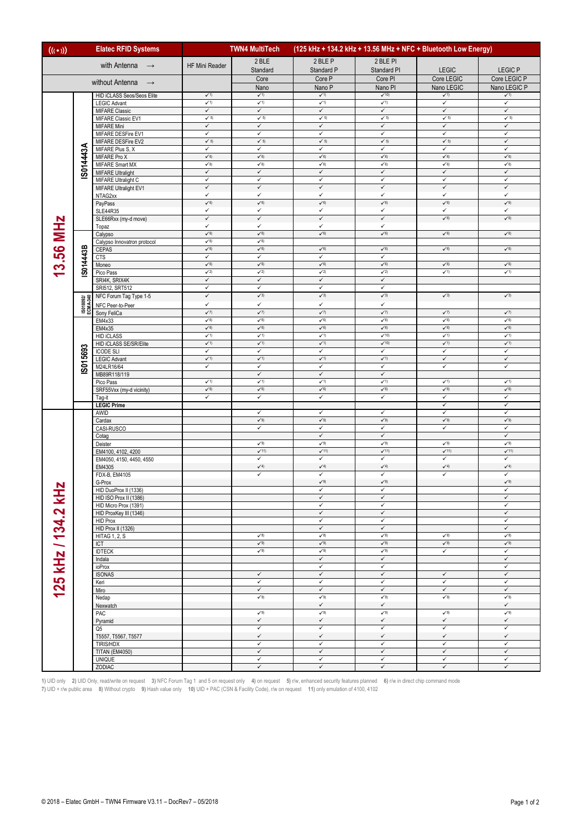| <b>Elatec RFID Systems</b><br>$((\cdot))$ |                       |                                                 | (125 kHz + 134.2 kHz + 13.56 MHz + NFC + Bluetooth Low Energy)<br><b>TWN4 MultiTech</b> |                                          |                                    |                                      |                                          |                                     |
|-------------------------------------------|-----------------------|-------------------------------------------------|-----------------------------------------------------------------------------------------|------------------------------------------|------------------------------------|--------------------------------------|------------------------------------------|-------------------------------------|
| with Antenna $\rightarrow$                |                       |                                                 | HF Mini Reader                                                                          | 2 BLE                                    | 2 BLE P                            | 2 BLE PI                             |                                          |                                     |
|                                           |                       |                                                 |                                                                                         | Standard                                 | Standard P                         | Standard PI                          | LEGIC                                    | <b>LEGIC P</b>                      |
| without Antenna $\rightarrow$             |                       |                                                 |                                                                                         | Core                                     | Core P                             | Core PI                              | Core LEGIC                               | Core LEGIC P                        |
|                                           |                       |                                                 |                                                                                         | Nano                                     | Nano P                             | Nano PI                              | Nano LEGIC                               | Nano LEGIC P                        |
|                                           |                       | HID iCLASS Seos/Seos Elite                      | $\checkmark$ 1)<br>$\sqrt{1}$                                                           | $\checkmark$ 1)<br>$\sqrt{1}$            | $\checkmark$ 1)<br>$\sqrt{1}$      | $\sqrt{10}$<br>$\sqrt{1}$            | $\checkmark$ 1)<br>$\checkmark$          | $\checkmark$ 1)<br>✓                |
|                                           |                       | <b>LEGIC Advant</b><br><b>MIFARE Classic</b>    | $\checkmark$                                                                            | $\checkmark$                             | $\checkmark$                       | $\checkmark$                         | $\checkmark$                             | $\checkmark$                        |
|                                           |                       | MIFARE Classic EV1                              | $\checkmark$ 5)                                                                         | $\checkmark$ 5)                          | $\checkmark$ 5)                    | $\checkmark$ 5)                      | $\checkmark$ 5)                          | $\checkmark$ 5)                     |
|                                           |                       | MIFARE Mini                                     | $\checkmark$                                                                            | $\checkmark$                             | $\checkmark$                       | $\checkmark$                         | $\checkmark$                             | $\checkmark$                        |
|                                           |                       | MIFARE DESFire EV1                              | $\checkmark$                                                                            | $\checkmark$                             | ✓                                  | ✓                                    | ✓                                        | ✓                                   |
|                                           |                       | MIFARE DESFire EV2<br>MIFARE Plus S, X          | $\checkmark$ 5)<br>$\checkmark$                                                         | $\checkmark$ 5)<br>$\checkmark$          | $\checkmark$ 5)<br>$\checkmark$    | $\checkmark$ 5)<br>✓                 | $\checkmark$ 5)<br>$\checkmark$          | $\checkmark$<br>✓                   |
|                                           | S014443A              | MIFARE Pro X                                    | $\checkmark$ 6)                                                                         | $\checkmark\textbf{6})$                  | $\checkmark$ 6)                    | $\checkmark$ 6)                      | $\checkmark$ 6)                          | $\check{6}$                         |
|                                           |                       | MIFARE Smart MX                                 | $\checkmark\text{6)}$                                                                   | $\sqrt{6}$                               | $\checkmark$ 6)                    | $\checkmark$ 6)                      | $\checkmark$ 6)                          | $\checkmark$ 6)                     |
|                                           |                       | <b>MIFARE Ultralight</b>                        | $\checkmark$                                                                            | $\checkmark$                             | $\checkmark$                       | $\checkmark$                         | $\checkmark$                             | $\checkmark$                        |
|                                           |                       | MIFARE Ultralight C                             | $\checkmark$<br>$\checkmark$                                                            | ✓                                        | $\checkmark$<br>$\checkmark$       | $\checkmark$<br>$\checkmark$         | $\checkmark$<br>$\checkmark$             | ✓<br>$\checkmark$                   |
|                                           |                       | MIFARE Ultralight EV1<br>NTAG2xx                | $\checkmark$                                                                            | $\checkmark$<br>$\checkmark$             | $\checkmark$                       | $\checkmark$                         | $\checkmark$                             | ✓                                   |
|                                           |                       | PayPass                                         | $\checkmark$ 6)                                                                         | $\checkmark$                             | $\checkmark$ <sub>6</sub> )        | $\checkmark$ <sub>6</sub> )          | $\check{6}$                              | $\check{6}$                         |
|                                           |                       | <b>SLE44R35</b>                                 | $\checkmark$                                                                            | $\checkmark$                             | $\checkmark$                       | ✓                                    | ✓                                        | ✓                                   |
|                                           |                       | SLE66Rxx (my-d move)                            | $\checkmark$                                                                            | ✓                                        | $\checkmark$                       | $\checkmark$                         | $\checkmark$ 6)                          | $\check{6}$                         |
|                                           |                       | Topaz                                           | $\checkmark$<br>$\checkmark$                                                            | $\checkmark$<br>$\checkmark$             | $\checkmark$<br>$\sqrt{6}$         | $\checkmark$<br>$\sqrt{6}$           | $\checkmark$ 6)                          | $\check{6}$                         |
| 13.56 MHz                                 |                       | Calypso<br>Calypso Innovatron protocol          |                                                                                         | $\checkmark$ 6)                          |                                    |                                      |                                          |                                     |
|                                           |                       | CEPAS                                           | $\checkmark$ 6)                                                                         | $\checkmark$ 6)                          | $\checkmark$ 6)                    | $\checkmark\$                        | $\checkmark$ 6)                          | $\check{6}$                         |
|                                           | S014443B              | CTS                                             | $\checkmark$                                                                            | $\checkmark$                             | $\checkmark$                       | ✓                                    |                                          |                                     |
|                                           |                       | Moneo                                           | $\sqrt{6}$                                                                              | $\sqrt{6}$                               | $\sqrt{6}$                         | $\sqrt{6}$                           | $\checkmark$ 6)                          | $\check{6}$                         |
|                                           |                       | Pico Pass                                       | $\checkmark$ 2)<br>$\checkmark$                                                         | $\checkmark$ 2)<br>$\checkmark$          | $\checkmark$ 2)<br>$\checkmark$    | $\checkmark$ 2)<br>$\checkmark$      | $\checkmark$ 1)                          | $\checkmark$ 1)                     |
|                                           |                       | SRI4K, SRIX4K<br>SRI512, SRT512                 | $\checkmark$                                                                            | $\checkmark$                             | $\checkmark$                       | $\checkmark$                         |                                          |                                     |
|                                           |                       | NFC Forum Tag Type 1-5                          | $\checkmark$                                                                            | $\checkmark$ 3)                          | $\checkmark$ 3)                    | $\checkmark$ 3)                      | $\checkmark$ 3)                          | $\checkmark$ 3)                     |
|                                           | IS018092/<br>ECMA-340 | NFC Peer-to-Peer                                | $\checkmark$                                                                            | $\checkmark$                             | $\checkmark$                       | $\checkmark$                         |                                          |                                     |
|                                           |                       | Sony FeliCa                                     | $\checkmark$                                                                            | $\checkmark$                             | $\checkmark$                       | $\checkmark$                         | $\checkmark$                             | $\sqrt{7}$                          |
|                                           |                       | EM4x33                                          | $\sqrt{6}$                                                                              | $\sqrt{6}$                               | $\sqrt{6}$                         | $\sqrt{6}$                           | $\sqrt{6}$                               | $\sqrt{6}$                          |
|                                           |                       | EM4x35<br><b>HID iCLASS</b>                     | $\checkmark$ 1)                                                                         | $\checkmark\text{6)}$<br>$\checkmark$ 1) | $\checkmark$ 6)<br>$\checkmark$ 1) | $\checkmark\text{6)}$<br>$\sqrt{10}$ | $\checkmark\text{6)}$<br>$\checkmark$ 1) | $\check{6}$<br>$\sqrt{1}$           |
|                                           |                       | HID iCLASS SE/SR/Elite                          | $\checkmark$ 1)                                                                         | $\checkmark$ 1)                          | $\checkmark$ 1)                    | $\checkmark$ 10)                     | $\checkmark$ 1)                          | $\checkmark$ 1)                     |
|                                           |                       | <b>ICODE SLI</b>                                | $\checkmark$                                                                            | $\checkmark$                             | ✓                                  | ✓                                    | ✓                                        | ✓                                   |
|                                           | IS015693              | <b>LEGIC Advant</b>                             | $\checkmark$ 1)                                                                         | $\checkmark$ 1)                          | $\checkmark$ 1)                    | $\checkmark$ 1)                      | $\checkmark$                             | $\checkmark$                        |
|                                           |                       | M24LR16/64                                      | $\checkmark$                                                                            | $\checkmark$                             | $\checkmark$                       | ✓                                    | ✓                                        | ✓                                   |
|                                           |                       | MB89R118/119                                    | $\checkmark$ 1)                                                                         | $\checkmark$<br>$\checkmark$ 1)          | $\checkmark$<br>$\sqrt{1}$         | $\checkmark$<br>$\sqrt{1}$           | $\checkmark$ 1)                          | $\checkmark$ 1)                     |
|                                           |                       | Pico Pass<br>SRF55Vxx (my-d vicinity)           | $\checkmark\text{6)}$                                                                   | $\sqrt{6}$                               | $\checkmark$                       | $\sqrt{6}$                           | $\checkmark$ 6)                          | $\checkmark$ 6)                     |
|                                           |                       | Tag-it                                          | $\checkmark$                                                                            | $\checkmark$                             | $\checkmark$                       | ✓                                    | $\checkmark$                             | ✓                                   |
|                                           |                       | <b>LEGIC Prime</b>                              |                                                                                         |                                          |                                    |                                      | ✓                                        | ✓                                   |
|                                           |                       | AWID                                            |                                                                                         | ✓                                        | $\checkmark$                       | ✓                                    | ✓                                        | ✓                                   |
|                                           |                       | Cardax<br>CASI-RUSCO                            |                                                                                         | $\checkmark$ 9)<br>$\checkmark$          | $\checkmark$ 9)<br>$\checkmark$    | $\checkmark$ 9)<br>✓                 | $\checkmark$ 9)<br>$\checkmark$          | $\checkmark$ 9)<br>✓                |
|                                           |                       | Cotag                                           |                                                                                         |                                          | $\checkmark$                       | $\checkmark$                         |                                          | $\checkmark$                        |
|                                           |                       | Deister                                         |                                                                                         | $\checkmark$ 9)                          | $\checkmark$ 9)                    | $\checkmark$ 9)                      | $\checkmark$ 9)                          | $\checkmark$ 9)                     |
|                                           |                       | EM4100, 4102, 4200                              |                                                                                         | $\checkmark$ 11)                         | $\checkmark$ 11)                   | $\checkmark$ 11)                     | $\checkmark$ 11)                         | $\checkmark$ 11)                    |
|                                           |                       | EM4050, 4150, 4450, 4550<br>EM4305              |                                                                                         | $\checkmark$<br>$\checkmark$ 4)          | $\checkmark$<br>$\sqrt{4}$         | $\checkmark$<br>$\checkmark$ 4)      | $\checkmark$<br>$\checkmark$ 4)          | ✓<br>$\checkmark$ 4)                |
|                                           |                       | FDX-B, EM4105                                   |                                                                                         | $\checkmark$                             | $\checkmark$                       | $\checkmark$                         | ✓                                        | ✓                                   |
|                                           |                       | G-Prox                                          |                                                                                         |                                          | $\checkmark$ 9)                    | $\checkmark\,9)$                     |                                          | $\checkmark$ 9)                     |
|                                           |                       | HID DuoProx II (1336)                           |                                                                                         |                                          | $\checkmark$                       | ✓                                    |                                          | $\checkmark$                        |
|                                           |                       | HID ISO Prox II (1386)                          |                                                                                         |                                          | $\checkmark$                       | $\checkmark$                         |                                          | $\checkmark$                        |
|                                           |                       | HID Micro Prox (1391)<br>HID ProxKey III (1346) |                                                                                         |                                          | $\checkmark$<br>$\checkmark$       | $\checkmark$<br>$\checkmark$         |                                          | ✓<br>$\checkmark$                   |
|                                           |                       | <b>HID Prox</b>                                 |                                                                                         |                                          | $\checkmark$                       | ✓                                    |                                          | $\checkmark$                        |
|                                           |                       | HID Prox II (1326)                              |                                                                                         |                                          | $\checkmark$                       | $\checkmark$                         |                                          | $\checkmark$                        |
|                                           |                       | <b>HITAG 1, 2, S</b>                            |                                                                                         | $\checkmark$ 8)                          | $\sqrt{8}$                         | $\sqrt{8}$                           | $\checkmark$ 8)                          | $\sqrt{8}$                          |
|                                           |                       | <b>ICT</b>                                      |                                                                                         | $\checkmark$ 9)                          | $\checkmark$ 9)                    | $\checkmark$ 9)                      | $\checkmark$ 9)                          | $\checkmark$ 9)                     |
|                                           |                       | <b>IDTECK</b>                                   |                                                                                         | $\sqrt{9}$                               | $\sqrt{9}$<br>$\checkmark$         | $\sqrt{9}$<br>$\checkmark$           | ✓                                        | ✓<br>$\checkmark$                   |
| 125 kHz / 134.2 kHz                       |                       | Indala<br>ioProx                                |                                                                                         |                                          | $\checkmark$                       | ✓                                    |                                          | ✓                                   |
|                                           |                       | <b>ISONAS</b>                                   |                                                                                         | $\checkmark$                             | $\checkmark$                       | $\checkmark$                         | $\checkmark$                             | $\checkmark$                        |
|                                           |                       | Keri                                            |                                                                                         | $\checkmark$                             | $\checkmark$                       | $\checkmark$                         | $\checkmark$                             | ✓                                   |
|                                           |                       | Miro                                            |                                                                                         | ✓                                        | $\checkmark$                       | $\checkmark$                         | $\checkmark$                             | $\checkmark$                        |
|                                           |                       | Nedap                                           |                                                                                         | $\checkmark$ 9)                          | $\sqrt{9}$<br>$\checkmark$         | $\checkmark$ 9)<br>$\checkmark$      | $\checkmark^{\,9)}$                      | $\checkmark^{\,9)}$<br>$\checkmark$ |
|                                           |                       | Nexwatch<br>PAC                                 |                                                                                         | $\sqrt{9}$                               | $\checkmark$ 9)                    | $\checkmark$ 9)                      | $\checkmark$ 9)                          | $\checkmark$ 9)                     |
|                                           |                       | Pyramid                                         |                                                                                         | $\checkmark$                             | $\checkmark$                       | $\checkmark$                         | $\checkmark$                             | $\checkmark$                        |
|                                           |                       | Q5                                              |                                                                                         | $\checkmark$                             | ✓                                  | ✓                                    | ✓                                        | ✓                                   |
|                                           |                       | T5557, T5567, T5577                             |                                                                                         | $\checkmark$                             | $\checkmark$                       | $\checkmark$                         | $\checkmark$                             | $\checkmark$                        |
|                                           |                       | TIRIS/HDX<br><b>TITAN (EM4050)</b>              |                                                                                         | $\checkmark$<br>✓                        | $\checkmark$<br>$\checkmark$       | ✓<br>$\checkmark$                    | $\checkmark$<br>$\checkmark$             | $\checkmark$<br>$\checkmark$        |
|                                           |                       | <b>UNIQUE</b>                                   |                                                                                         | $\checkmark$                             | $\checkmark$                       | $\checkmark$                         | $\checkmark$                             | ✓                                   |
|                                           |                       | ZODIAC                                          |                                                                                         | $\checkmark$                             | $\checkmark$                       | $\checkmark$                         | $\checkmark$                             | $\checkmark$                        |

**1)** UID only **2)** UID Only, read/write on request **3)** NFC Forum Tag 1 and 5 on request only **4)** on request **5)** r/w, enhanced security features planned **6)** r/w in direct chip command mode **7)** UID + r/w public area **8)** Without crypto **9)** Hash value only **10)** UID + PAC (CSN & Facility Code), r/w on request **11)** only emulation of 4100, 4102